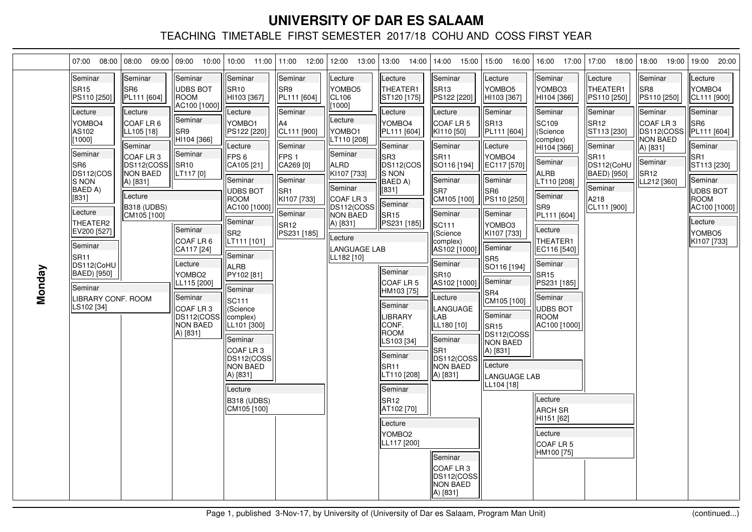|        | 07:00<br>08:00                                                                                                                                                                                                                                                                                                       | 08:00<br>09:00                                                                                                                                                                                       | 09:00<br>10:00                                                                                                                                                                                                                                                                                    | $10:00$ 11:00 11:00                                                                                                                                                                                                                                                                                                                                                                                                                     | 12:00                                                                                                                                                                                      | 12:00<br>13:00                                                                                                                                                                                                                                | 13:00 14:00                                                                                                                                                                                                                                                                                                                                                                                                                     | 14:00<br>15:00                                                                                                                                                                                                                                                                                                                                                                                                                                                                         | 15:00<br>16:00                                                                                                                                                                                                                                                                                                                                                                                     | 16:00 17:00                                                                                                                                                                                                                                                                                                                                                                                                              | 17:00<br>18:00                                                                                                                                                                        | 18:00<br>19:00                                                                                                                                      | 20:00<br>19:00                                                                                                                                                                                                        |
|--------|----------------------------------------------------------------------------------------------------------------------------------------------------------------------------------------------------------------------------------------------------------------------------------------------------------------------|------------------------------------------------------------------------------------------------------------------------------------------------------------------------------------------------------|---------------------------------------------------------------------------------------------------------------------------------------------------------------------------------------------------------------------------------------------------------------------------------------------------|-----------------------------------------------------------------------------------------------------------------------------------------------------------------------------------------------------------------------------------------------------------------------------------------------------------------------------------------------------------------------------------------------------------------------------------------|--------------------------------------------------------------------------------------------------------------------------------------------------------------------------------------------|-----------------------------------------------------------------------------------------------------------------------------------------------------------------------------------------------------------------------------------------------|---------------------------------------------------------------------------------------------------------------------------------------------------------------------------------------------------------------------------------------------------------------------------------------------------------------------------------------------------------------------------------------------------------------------------------|----------------------------------------------------------------------------------------------------------------------------------------------------------------------------------------------------------------------------------------------------------------------------------------------------------------------------------------------------------------------------------------------------------------------------------------------------------------------------------------|----------------------------------------------------------------------------------------------------------------------------------------------------------------------------------------------------------------------------------------------------------------------------------------------------------------------------------------------------------------------------------------------------|--------------------------------------------------------------------------------------------------------------------------------------------------------------------------------------------------------------------------------------------------------------------------------------------------------------------------------------------------------------------------------------------------------------------------|---------------------------------------------------------------------------------------------------------------------------------------------------------------------------------------|-----------------------------------------------------------------------------------------------------------------------------------------------------|-----------------------------------------------------------------------------------------------------------------------------------------------------------------------------------------------------------------------|
| Monday | Seminar<br><b>SR15</b><br>PS110 [250]<br>Lecture<br>YOMBO4<br>AS102<br>[1000]<br>Seminar<br>SR <sub>6</sub><br>DS112(COS<br><b>S NON</b><br>BAED A)<br>[831]<br>Lecture<br>THEATER2<br>EV200 [527]<br><b>Seminar</b><br>SR <sub>11</sub><br>DS112(CoHU<br>BAED) [950]<br>Seminar<br>LIBRARY CONF. ROOM<br>LS102 [34] | Seminar<br>SR <sub>6</sub><br>PL111 [604]<br>Lecture<br>COAF LR 6<br>LL105 [18]<br>Seminar<br>COAF LR 3<br>DS112(COSS<br><b>NON BAED</b><br>A) [831]<br>Lecture<br><b>B318 (UDBS)</b><br>CM105 [100] | Seminar<br><b>UDBS BOT</b><br><b>ROOM</b><br>AC100 [1000]<br>Seminar<br>lSR9<br>HI104 [366]<br>Seminar<br>SR <sub>10</sub><br>LT117 [0]<br>Seminar<br>COAF LR 6<br>CA117 [24]<br>Lecture<br>YOMBO <sub>2</sub><br>LL115 [200]<br>Seminar<br>COAF LR3<br>DS112(COSS<br><b>NON BAED</b><br>A) [831] | Seminar<br>SR <sub>10</sub><br>HI103 [367]<br>Lecture<br>YOMBO1<br>PS122 [220]<br>Lecture<br>FPS <sub>6</sub><br>CA105 [21]<br>Seminar<br>UDBS BOT<br><b>ROOM</b><br>AC100 [1000]<br>Seminar<br>SR <sub>2</sub><br>LT111 [101]<br>Seminar<br>ALRB<br>PY102 [81]<br>Seminar<br>SC111<br>(Science<br>(complex)<br>LL101 [300]<br>Seminar<br>COAFLR3<br>DS112(COSS<br><b>NON BAED</b><br>A) [831]<br>Lecture<br>B318 (UDBS)<br>CM105 [100] | Seminar<br>SR9<br>PL111 [604]<br>Seminar<br>lA4<br>CL111 [900]<br>Seminar<br>FPS <sub>1</sub><br>CA269 [0]<br>Seminar<br>SR <sub>1</sub><br>KI107 [733]<br>Seminar<br>lSR12<br>PS231 [185] | Lecture<br>YOMBO <sub>5</sub><br>ICL106<br>[1000]<br>Lecture<br>YOMBO1<br>LT110 [208]<br>Seminar<br><b>ALRD</b><br>KI107 [733]<br>Seminar<br>COAF LR 3<br>DS112(COSS<br><b>INON BAED</b><br>A) [831]<br>Lecture<br>LANGUAGE LAB<br>LL182 [10] | Lecture<br>THEATER1<br> ST120 [175]<br>Lecture<br>YOMBO4<br>PL111 [604]<br>Seminar<br>SR3<br>DS112(COS<br>S NON<br><b>BAED A)</b><br>[831]<br>Seminar<br>SR <sub>15</sub><br>PS231 [185]<br>Seminar<br>COAF LR 5<br>HM103 [75]<br>Seminar<br>LIBRARY<br>ICONF.<br>ROOM<br>LS103 [34]<br>Seminar<br>SR <sub>11</sub><br>LT110 [208]<br>Seminar<br>SR <sub>12</sub><br>AT102 [70]<br>Lecture<br>YOMBO <sub>2</sub><br>LL117 [200] | Seminar<br>SR <sub>13</sub><br>PS122 [220]<br>Lecture<br>lCOAF LR 5<br>KI110 [50]<br>Seminar<br>SR <sub>11</sub><br>SO116 [194]<br>Seminar<br>lsrz<br>CM105 [100]<br>Seminar<br>SC <sub>111</sub><br>(Science<br>complex)<br>AS102 [1000]<br>Seminar<br>SR <sub>10</sub><br>AS102 [1000]<br>Lecture<br>LANGUAGE<br>LAB<br>LL180 [10]<br>Seminar<br>SR <sub>1</sub><br>DS112(COSS<br><b>INON BAED</b><br> A) [831]<br>Seminar<br>COAF LR 3<br>DS112(COSS<br><b>NON BAED</b><br>A) [831] | Lecture<br>YOMBO5<br>HI103 [367]<br><b>Seminar</b><br>SR <sub>13</sub><br>PL111 [604]<br>Lecture<br>YOMBO4<br>EC117 [570]<br>Seminar<br>ISR6<br>PS110 [250]<br>Seminar<br>YOMBO3<br>KI107 [733]<br>Seminar<br>SR <sub>5</sub><br>SO116 [194]<br>Seminar<br>SR4<br>CM105 [100]<br>Seminar<br>SR <sub>15</sub><br>DS112(COSS<br><b>NON BAED</b><br>A) [831]<br>Lecture<br>LANGUAGE LAB<br>LL104 [18] | Seminar<br>YOMBO3<br>HI104 [366]<br>Seminar<br>SC <sub>109</sub><br>(Science<br>complex)<br>HI104 [366]<br>Seminar<br><b>ALRB</b><br>LT110 [208]<br>Seminar<br>SR <sub>9</sub><br>PL111 [604]<br>Lecture<br>THEATER1<br>EC116 [540]<br>Seminar<br>SR <sub>15</sub><br>PS231 [185]<br>Seminar<br><b>UDBS BOT</b><br>ROOM<br>AC100 [1000]<br>Lecture<br><b>ARCH SR</b><br>HI151 [62]<br>Lecture<br>COAF LR 5<br>HM100 [75] | Lecture<br><b>THEATER1</b><br>PS110 [250]<br>Seminar<br>SR <sub>12</sub><br>ST113 [230]<br>Seminar<br>SR <sub>11</sub><br>DS112(CoHU<br>BAED) [950]<br>Seminar<br>A218<br>CL111 [900] | Seminar<br>lSR8.<br>PS110 [250]<br>Seminar<br>lCOAF LR 3<br>DS112(COSS<br><b>NON BAED</b><br>A) [831]<br>Seminar<br>SR <sub>12</sub><br>LL212 [360] | Lecture<br>lYOMBO4<br>CL111 [900]<br>Seminar<br>SR <sub>6</sub><br>PL111 [604]<br>Seminar<br>SR <sub>1</sub><br>ST113 [230]<br>Seminar<br><b>UDBS BOT</b><br>ROOM<br>AC100 [1000]<br>Lecture<br>YOMBO5<br>KI107 [733] |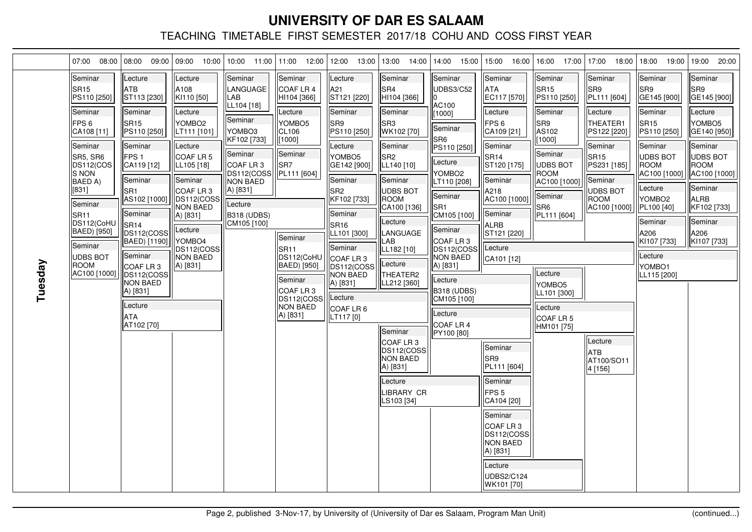|         | 07:00<br>08:00                                                                                                                                                                                                                                                                 | 08:00<br>09:00                                                                                                                                                                                                                                                                                                                              | 09:00 10:00                                                                                                                                                                                                                                                 |                                                                                                                                                                                      | 10:00 11:00 11:00 12:00                                                                                                                                                                                                                                      | 12:00<br>13:00                                                                                                                                                                                                                                                                                      | 13:00 14:00                                                                                                                                                                                                                                                                                                                                                         | 14:00 15:00                                                                                                                                                                                                                                                                                                                                           | 15:00 16:00                                                                                                                                                                                                                                                                                                                                                                                                           | 16:00 17:00                                                                                                                                                                                                                                             | $17:00$ 18:00                                                                                                                                                                                                         | 18:00<br>19:00                                                                                                                                                                                                                                          | 19:00 20:00                                                                                                                                                                                                           |
|---------|--------------------------------------------------------------------------------------------------------------------------------------------------------------------------------------------------------------------------------------------------------------------------------|---------------------------------------------------------------------------------------------------------------------------------------------------------------------------------------------------------------------------------------------------------------------------------------------------------------------------------------------|-------------------------------------------------------------------------------------------------------------------------------------------------------------------------------------------------------------------------------------------------------------|--------------------------------------------------------------------------------------------------------------------------------------------------------------------------------------|--------------------------------------------------------------------------------------------------------------------------------------------------------------------------------------------------------------------------------------------------------------|-----------------------------------------------------------------------------------------------------------------------------------------------------------------------------------------------------------------------------------------------------------------------------------------------------|---------------------------------------------------------------------------------------------------------------------------------------------------------------------------------------------------------------------------------------------------------------------------------------------------------------------------------------------------------------------|-------------------------------------------------------------------------------------------------------------------------------------------------------------------------------------------------------------------------------------------------------------------------------------------------------------------------------------------------------|-----------------------------------------------------------------------------------------------------------------------------------------------------------------------------------------------------------------------------------------------------------------------------------------------------------------------------------------------------------------------------------------------------------------------|---------------------------------------------------------------------------------------------------------------------------------------------------------------------------------------------------------------------------------------------------------|-----------------------------------------------------------------------------------------------------------------------------------------------------------------------------------------------------------------------|---------------------------------------------------------------------------------------------------------------------------------------------------------------------------------------------------------------------------------------------------------|-----------------------------------------------------------------------------------------------------------------------------------------------------------------------------------------------------------------------|
| Tuesday | Seminar<br><b>SR15</b><br>PS110 [250]<br>Seminar<br>FPS <sub>6</sub><br>CA108 [11]<br>Seminar<br>SR5, SR6<br>DS112(COS<br><b>S NON</b><br>BAED A)<br>[831]<br>Seminar<br><b>SR11</b><br>DS112(CoHU<br>BAED) [950]<br>Seminar<br><b>UDBS BOT</b><br><b>ROOM</b><br>AC100 [1000] | Lecture<br><b>ATB</b><br>ST113 [230]<br>Seminar<br>SR <sub>15</sub><br>PS110 [250]<br>Seminar<br>FPS <sub>1</sub><br>CA119 [12]<br>Seminar<br>lsrn<br>AS102 [1000]<br>Seminar<br>SR <sub>14</sub><br>DS112(COSS<br>BAED) [1190]<br>Seminar<br>COAF LR 3<br>DS112(COSS<br><b>NON BAED</b><br>A) [831]<br>Lecture<br><b>ATA</b><br>AT102 [70] | Lecture<br>A108<br>KI110 [50]<br>Lecture<br>YOMBO <sub>2</sub><br>LT111 [101]<br>Lecture<br>COAF LR 5<br>LL105 [18]<br>Seminar<br>COAF LR 3<br>IDS112(COSS<br><b>NON BAED</b><br>A) [831]<br>Lecture<br>YOMBO4<br>DS112(COSS<br><b>NON BAED</b><br>A) [831] | Seminar<br>LANGUAGE<br>lLAB<br>LL104 [18]<br>Seminar<br>YOMBO3<br>KF102 [733]<br>Seminar<br>COAF LR 3<br>DS112(COSS<br>NON BAED<br>A) [831]<br>Lecture<br>B318 (UDBS)<br>CM105 [100] | Seminar<br>COAF LR 4<br>HI104 [366]<br>Lecture<br>YOMBO <sub>5</sub><br>CL106<br>[1000]<br>Seminar<br>lSR7<br>  PL111 [604]<br>Seminar<br>SR <sub>11</sub><br>DS112(CoHU<br>BAED) [950]<br>Seminar<br>COAF LR3<br>DS112(COSS)<br><b>NON BAED</b><br>A) [831] | Lecture<br>A21<br>ST121 [220]<br>Seminar<br>SR9<br>PS110 [250]<br>Lecture<br>YOMBO <sub>5</sub><br>GE142 [900]<br>Seminar<br>lSR2<br>KF102 [733]<br>Seminar<br>SR <sub>16</sub><br>LL101 [300]<br>Seminar<br>lCOAF LR 3<br>IDS112(COSS<br>NON BAED<br>A) [831]<br>Lecture<br>COAF LR 6<br>LT117 [0] | Seminar<br>SR4<br>HI104 [366]<br>Seminar<br>SR3<br>WK102 [70]<br>Seminar<br>SR <sub>2</sub><br>LL140 [10]<br>Seminar<br><b>UDBS BOT</b><br><b>ROOM</b><br>CA100 [136]<br>Lecture<br>LANGUAGE<br>LAB<br>LL182 [10]<br>Lecture<br>THEATER2<br>LL212 [360]<br>Seminar<br>COAF LR 3<br>DS112(COSS<br><b>NON BAED</b><br>A) [831]<br>Lecture<br>LIBRARY CR<br>LS103 [34] | Seminar<br>UDBS3/C52<br>AC100<br>[1000]<br>Seminar<br>SR <sub>6</sub><br>PS110 [250]<br>Lecture<br>YOMBO <sub>2</sub><br>LT110 [208]<br>Seminar<br>SR <sub>1</sub><br>CM105 [100]<br>Seminar<br>lCOAF LR 3<br>DS112(COSSI<br><b>NON BAED</b><br>A) [831]<br>Lecture<br><b>B318 (UDBS)</b><br>CM105 [100]<br>Lecture<br><b>COAF LR 4</b><br>PY100 [80] | <b>Seminar</b><br><b>ATA</b><br>EC117 [570]<br>Lecture<br>FPS 6<br>CA109 [21]<br>Seminar<br>SR <sub>14</sub><br>ST120 [175]<br>lSeminar<br>A218<br>AC100 [1000]<br>Seminar<br>ALRB<br>ST121 [220]<br>Lecture<br>CA101 [12]<br><b>Seminar</b><br>SR9<br>PL111 [604]<br>Seminar<br>FPS <sub>5</sub><br>CA104 [20]<br>lSeminar<br>COAF LR 3<br>DS112(COSS<br>NON BAED<br>A) [831]<br>Lecture<br>UDBS2/C124<br>WK101 [70] | Seminar<br>SR <sub>15</sub><br>PS110 [250]<br>Seminar<br>SR9<br>AS102<br>[1000]<br>Seminar<br><b>UDBS BOT</b><br><b>ROOM</b><br>AC100 [1000]<br>Seminar<br>SR6<br>PL111 [604]<br>Lecture<br>YOMBO5<br>LL101 [300]<br>Lecture<br>COAF LR 5<br>HM101 [75] | Seminar<br>ISR9<br>PL111 [604]<br>Lecture<br><b>THEATER1</b><br>PS122 [220]<br>Seminar<br>SR <sub>15</sub><br>PS231 [185]<br>Seminar<br>UDBS BOT<br>IROOM<br>AC100 [1000]<br>Lecture<br>latb.<br>AT100/SO11<br>4[156] | Seminar<br>SR9<br>GE145 [900]<br>Seminar<br>SR <sub>15</sub><br>PS110 [250]<br>Seminar<br>UDBS BOT<br><b>IROOM</b><br>AC100 [1000]<br>Lecture<br>YOMBO <sub>2</sub><br>PL100 [40]<br>Seminar<br>A206<br>KI107 [733]<br>Lecture<br>YOMBO1<br>LL115 [200] | <b>Seminar</b><br>SR9<br>GE145 [900]<br>Lecture<br>YOMBO <sub>5</sub><br>GE140 [950]<br><b>Seminar</b><br>UDBS BOT<br>ROOM<br>AC100 [1000]<br>Seminar<br><b>ALRB</b><br>KF102 [733]<br>Seminar<br>A206<br>KI107 [733] |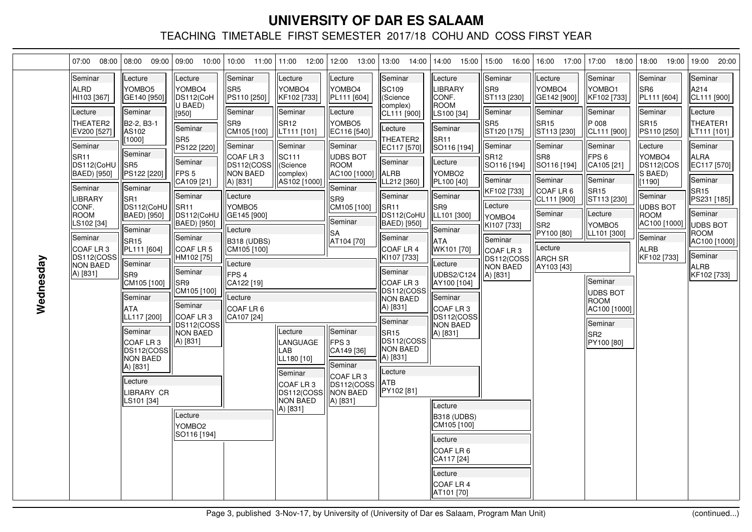| 07:00                                                                                                                                                                                                                                                                                                     | 08:00<br>08:00<br>09:00                                                                                                                                                                                                                                                                                                                                                                                                             | 09:00<br>10:00                                                                                                                                                                                                                                                                                                                                                                                                |                                                                                                                                                                                                                                                                                                                               | 10:00  11:00  11:00  12:00                                                                                                                                                                                                                                                | 12:00<br>13:00                                                                                                                                                                                                                                                                                                      | 13:00                                                                                                                                                                                                                                                                                                                                                                                                                                  | 14:00   14:00 15:00                                                                                                                                                                                                                                                                                                                                                                                                                                          | 15:00 16:00                                                                                                                                                                                                                                          | 16:00 17:00                                                                                                                                                                                                                                       | 17:00<br>18:00                                                                                                                                                                                                                                                                              | 18:00<br>19:00                                                                                                                                                                                                                                          | 19:00<br>20:00                                                                                                                                                                                                                                                |
|-----------------------------------------------------------------------------------------------------------------------------------------------------------------------------------------------------------------------------------------------------------------------------------------------------------|-------------------------------------------------------------------------------------------------------------------------------------------------------------------------------------------------------------------------------------------------------------------------------------------------------------------------------------------------------------------------------------------------------------------------------------|---------------------------------------------------------------------------------------------------------------------------------------------------------------------------------------------------------------------------------------------------------------------------------------------------------------------------------------------------------------------------------------------------------------|-------------------------------------------------------------------------------------------------------------------------------------------------------------------------------------------------------------------------------------------------------------------------------------------------------------------------------|---------------------------------------------------------------------------------------------------------------------------------------------------------------------------------------------------------------------------------------------------------------------------|---------------------------------------------------------------------------------------------------------------------------------------------------------------------------------------------------------------------------------------------------------------------------------------------------------------------|----------------------------------------------------------------------------------------------------------------------------------------------------------------------------------------------------------------------------------------------------------------------------------------------------------------------------------------------------------------------------------------------------------------------------------------|--------------------------------------------------------------------------------------------------------------------------------------------------------------------------------------------------------------------------------------------------------------------------------------------------------------------------------------------------------------------------------------------------------------------------------------------------------------|------------------------------------------------------------------------------------------------------------------------------------------------------------------------------------------------------------------------------------------------------|---------------------------------------------------------------------------------------------------------------------------------------------------------------------------------------------------------------------------------------------------|---------------------------------------------------------------------------------------------------------------------------------------------------------------------------------------------------------------------------------------------------------------------------------------------|---------------------------------------------------------------------------------------------------------------------------------------------------------------------------------------------------------------------------------------------------------|---------------------------------------------------------------------------------------------------------------------------------------------------------------------------------------------------------------------------------------------------------------|
| Seminar<br><b>ALRD</b><br>HI103 [367]<br>Lecture<br>THEATER2<br>EV200 [527]<br>Seminar<br><b>SR11</b><br>DS112(CoHU<br><b>BAED)</b> [950]<br>Seminar<br><b>LIBRARY</b><br>CONF.<br><b>ROOM</b><br>LS102 [34]<br>Seminar<br>COAF LR <sub>3</sub><br>DS112(COSS<br>Wednesday<br><b>NON BAED</b><br>A) [831] | Lecture<br>YOMBO <sub>5</sub><br>GE140 [950]<br>Seminar<br>B2-2, B3-1<br>AS102<br>[1000]<br>Seminar<br>SR <sub>5</sub><br>PS122 [220]<br>Seminar<br>SR <sub>1</sub><br>DS112(CoHU<br>BAED) [950]<br>Seminar<br><b>SR15</b><br>PL111 [604]<br>Seminar<br>SR <sub>9</sub><br>CM105 [100]<br>Seminar<br>ATA<br>LL117 [200]<br>Seminar<br>COAF LR3<br>DS112(COSS)<br><b>NON BAED</b><br>A) [831]<br>Lecture<br>LIBRARY CR<br>LS101 [34] | Lecture<br>YOMBO4<br>DS112(CoH<br>U BAED)<br>[950]<br>Seminar<br><b>SR5</b><br>PS122 [220]<br>Seminar<br>FPS <sub>5</sub><br>CA109 [21]<br>Seminar<br>SR <sub>11</sub><br>DS112(CoHU<br>BAED) [950]<br>Seminar<br><b>COAF LR 5</b><br>HM102 [75]<br>Seminar<br>lSR9<br>CM105 [100]<br>Seminar<br><b>COAF LR3</b><br>DS112(COSS<br><b>NON BAED</b><br>A) [831]<br>Lecture<br>YOMBO <sub>2</sub><br>SO116 [194] | Seminar<br>SR <sub>5</sub><br>PS110 [250]<br>Seminar<br>SR9<br>CM105 [100]<br>Seminar<br>COAF LR3<br>DS112(COSS<br>INON BAED<br>A) [831]<br>Lecture<br>YOMBO <sub>5</sub><br> GE145 [900]<br>Lecture<br><b>B318 (UDBS)</b><br>CM105 [100]<br>Lecture<br>FPS <sub>4</sub><br> CA122 [19]<br>Lecture<br>COAF LR 6<br>CA107 [24] | Lecture<br>YOMBO4<br>KF102 [733]<br>Seminar<br>SR <sub>12</sub><br> LT111 [101]<br>Seminar<br>SC111<br>(Science<br>complex)<br> AS102 [1000 <sup>*</sup><br>Lecture<br>LANGUAGE<br>LAB<br>LL180 [10]<br>Seminar<br>COAF LR3<br>DS112(COSSI<br><b>NON BAED</b><br>A) [831] | Lecture<br>YOMBO4<br>PL111 [604]<br>Lecture<br>YOMBO5<br>EC116 [540]<br>Seminar<br><b>UDBS BOT</b><br><b>ROOM</b><br>AC100 [1000]<br>Seminar<br>SR9<br>CM105 [100]<br>Seminar<br> SA<br>AT104 [70]<br>Seminar<br>FPS3<br>CA149 [36]<br>Seminar<br>COAF LR <sub>3</sub><br>DS112(COSS<br><b>NON BAED</b><br>A) [831] | Seminar<br>SC <sub>109</sub><br>(Science<br>complex)<br>CL111 [900]<br>Lecture<br>THEATER2<br>EC117 [570]<br>Seminar<br><b>ALRB</b><br>LL212 [360]<br>Seminar<br>SR <sub>11</sub><br>DS112(CoHU<br>BAED) [950]<br>Seminar<br>COAF LR 4<br>KI107 [733]<br>Seminar<br>COAF LR 3<br>DS112(COSS<br><b>NON BAED</b><br>A) [831]<br>Seminar<br>SR <sub>15</sub><br>DS112(COSS<br>NON BAED<br>A) [831]<br>Lecture<br><b>ATB</b><br>PY102 [81] | Lecture<br><b>LIBRARY</b><br><b>CONF.</b><br><b>ROOM</b><br>LS100 [34]<br><b>Seminar</b><br>ISR11<br>SO116 [194]<br>Lecture<br><b>YOMBO2</b><br><b>PL100 [40]</b><br><b>Seminar</b><br>lSR9<br>LL101 [300]<br>Seminar<br>lata<br>WK101 [70]<br>Lecture<br>UDBS2/C124<br>AY100 [104]<br>Seminar<br>COAF LR 3<br> DS112(COSS <br><b>NON BAED</b><br>A) [831]<br>Lecture<br>B318 (UDBS)<br>CM105 [100]<br>Lecture<br><b>COAF LR 6</b><br> CA117 [24]<br>Lecture | Seminar<br>lSR9<br>ST113 [230]<br>Seminar<br>SR <sub>5</sub><br>ST120 [175]<br>Seminar<br>lSR12<br>SO116 [194]<br>lSeminar<br>KF102 [733]<br>Lecture<br>YOMBO4<br>KI107 [733]<br>lSeminar<br>lCOAF LR 3<br>DS112(COSS<br><b>NON BAED</b><br>A) [831] | Lecture<br><b>YOMBO4</b><br>GE142 [900]<br>Seminar<br>SR <sub>15</sub><br>ST113 [230]<br>Seminar<br>lSR8<br>SO116 [194]<br>Seminar<br><b>COAF LR 6</b><br>CL111 [900]<br>Seminar<br>lSR2<br>PY100 [80]<br>Lecture<br><b>ARCH SR</b><br>AY103 [43] | Seminar<br>lyombo1<br>KF102 [733]<br>Seminar<br>P 008<br>CL111 [900]<br>Seminar<br>FPS <sub>6</sub><br>CA105 [21]<br>Seminar<br>lSR15<br>ST113 [230]<br>Lecture<br>YOMBO5<br>LL101 [300]<br>Seminar<br>UDBS BOT<br><b>IROOM</b><br>AC100 [1000]<br>Seminar<br>SR <sub>2</sub><br>PY100 [80] | Seminar<br>SR <sub>6</sub><br>PL111 [604]<br>Seminar<br><b>SR15</b><br>PS110 [250]<br>Lecture<br>YOMBO4<br><b>DS112(COS</b><br>S BAED)<br>[1190]<br>Seminar<br><b>JDBS BOT</b><br><b>ROOM</b><br>AC100 [1000]<br>Seminar<br><b>ALRB</b><br> KF102 [733] | Seminar<br>lA214<br>CL111 [900]<br>Lecture<br>THEATER1<br>LT111 [101]<br>Seminar<br><b>ALRA</b><br>EC117 [570]<br>Seminar<br><b>SR15</b><br>PS231 [185]<br>Seminar<br><b>UDBS BOT</b><br><b>ROOM</b><br>AC100 [1000]<br>Seminar<br><b>ALRB</b><br>KF102 [733] |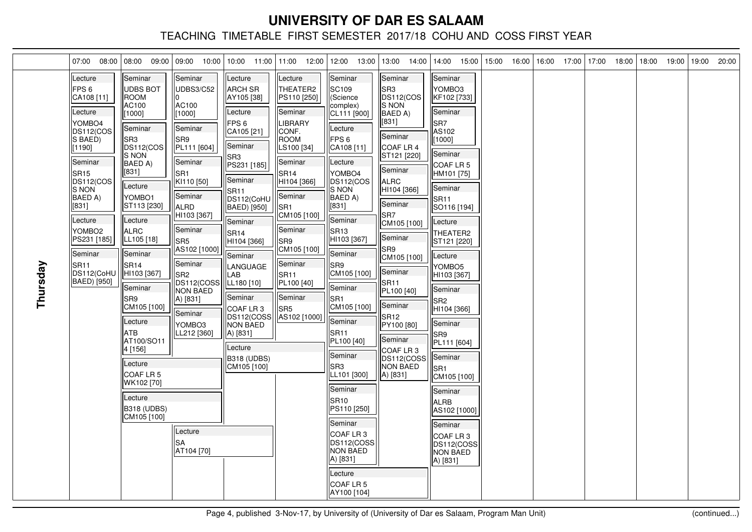| 07:00<br>08:00                                                                                                                                                                                                                                                                                           | 08:00 09:00                                                                                                                                                                                                                                                                                                                                                                                                                                     | 09:00<br>10:00                                                                                                                                                                                                                                                                                                                                     | 10:00<br>11:00                                                                                                                                                                                                                                                                                                                                                                                                             | 11:00 12:00                                                                                                                                                                                                                                                                                       | 12:00<br>13:00                                                                                                                                                                                                                                                                                                                                                                                                                                                                                                                               | 13:00<br>14:00                                                                                                                                                                                                                                                                                                                                                                    | 14:00 15:00                                                                                                                                                                                                                                                                                                                                                                                                                                                               | 15:00 | 16:00 | 16:00 | 17:00 | 17:00 | 18:00 | 18:00 | 19:00 | 19:00 | 20:00 |
|----------------------------------------------------------------------------------------------------------------------------------------------------------------------------------------------------------------------------------------------------------------------------------------------------------|-------------------------------------------------------------------------------------------------------------------------------------------------------------------------------------------------------------------------------------------------------------------------------------------------------------------------------------------------------------------------------------------------------------------------------------------------|----------------------------------------------------------------------------------------------------------------------------------------------------------------------------------------------------------------------------------------------------------------------------------------------------------------------------------------------------|----------------------------------------------------------------------------------------------------------------------------------------------------------------------------------------------------------------------------------------------------------------------------------------------------------------------------------------------------------------------------------------------------------------------------|---------------------------------------------------------------------------------------------------------------------------------------------------------------------------------------------------------------------------------------------------------------------------------------------------|----------------------------------------------------------------------------------------------------------------------------------------------------------------------------------------------------------------------------------------------------------------------------------------------------------------------------------------------------------------------------------------------------------------------------------------------------------------------------------------------------------------------------------------------|-----------------------------------------------------------------------------------------------------------------------------------------------------------------------------------------------------------------------------------------------------------------------------------------------------------------------------------------------------------------------------------|---------------------------------------------------------------------------------------------------------------------------------------------------------------------------------------------------------------------------------------------------------------------------------------------------------------------------------------------------------------------------------------------------------------------------------------------------------------------------|-------|-------|-------|-------|-------|-------|-------|-------|-------|-------|
| Lecture<br>FPS <sub>6</sub><br>CA108 [11]<br>Lecture<br>YOMBO4<br>DS112(COS<br>S BAED)<br>[1190]<br>Seminar<br>SR <sub>15</sub><br>DS112(COS<br><b>S NON</b><br>BAED A)<br>[831]<br>Lecture<br>YOMBO <sub>2</sub><br>PS231 [185]<br>Seminar<br>Thursday<br>SR <sub>11</sub><br>DS112(CoHU<br>BAED) [950] | Seminar<br><b>UDBS BOT</b><br><b>ROOM</b><br>AC100<br>[1000]<br>Seminar<br>SR <sub>3</sub><br>DS112(COS<br>IS NON<br>BAED A)<br>$[831]$<br>Lecture<br>YOMBO1<br>ST113 [230]<br>Lecture<br><b>ALRC</b><br>LL105 [18]<br>Seminar<br>SR <sub>14</sub><br>HI103 [367]<br>Seminar<br>SR <sub>9</sub><br>CM105 [100]<br>Lecture<br><b>ATB</b><br>AT100/SO11<br>4 [156]<br>Lecture<br>COAF LR 5<br>WK102 [70]<br>Lecture<br>B318 (UDBS)<br>CM105 [100] | Seminar<br><b>UDBS3/C52</b><br>AC100<br>[1000]<br>Seminar<br>SR <sub>9</sub><br>PL111 [604]<br>Seminar<br>lsri<br>KI110 [50]<br>Seminar<br>IALRD<br>HI103 [367]<br>Seminar<br>lSR5<br>AS102 [1000]<br>Seminar<br>lSR2<br>DS112(COSS<br><b>NON BAED</b><br>A) [831]<br>Seminar<br>YOMBO <sub>3</sub><br>LL212 [360]<br>Lecture<br>lSA<br>AT104 [70] | Lecture<br><b>ARCH SR</b><br>AY105 [38]<br>Lecture<br>FPS <sub>6</sub><br>CA105 [21]<br>Seminar<br>SR <sub>3</sub><br>PS231 [185]<br><b>Seminar</b><br>SR <sub>11</sub><br>DS112(CoHU<br>BAED) [950]<br>Seminar<br><b>SR14</b><br>HI104 [366]<br>Seminar<br>LANGUAGE<br>LAB<br>LL180 [10]<br>lSeminar<br>COAF LR <sub>3</sub><br>DS112(COSS<br><b>NON BAED</b><br>A) [831]<br>Lecture<br><b>B318 (UDBS)</b><br>CM105 [100] | Lecture<br>THEATER2<br>PS110 [250]<br>lSeminar<br>LIBRARY<br>ICONF.<br><b>ROOM</b><br>LS100 [34]<br>Seminar<br>SR <sub>14</sub><br> HI104 [366]<br>Seminar<br>SR1<br>CM105 [100]<br>Seminar<br>lSR9<br>CM105 [100]<br>Seminar<br>SR <sub>11</sub><br>PL100 [40]<br>Seminar<br>SR5<br>AS102 [1000] | Seminar<br>SC109<br>(Science<br>complex)<br>CL111 [900]<br>Lecture<br>FPS <sub>6</sub><br>CA108 [11]<br>Lecture<br>lyombo4<br>DS112(COS<br><b>S NON</b><br>BAED A)<br>[831]<br>Seminar<br>SR <sub>13</sub><br>HI103 [367]<br>Seminar<br>SR9<br>CM105 [100]<br>Seminar<br>lSR1<br>CM105 [100]<br>Seminar<br>SR <sub>11</sub><br>PL100 [40]<br>Seminar<br>lSR3<br>LL101 [300]<br>Seminar<br><b>SR10</b><br>PS110 [250]<br>Seminar<br>COAF LR 3<br>DS112(COSS)<br><b>NON BAED</b><br>A) [831]<br>Lecture<br>COAF LR <sub>5</sub><br>AY100 [104] | Seminar<br>SR <sub>3</sub><br>DS112(COS<br>S NON<br>BAED A)<br>[831]<br>Seminar<br>COAF LR 4<br>ST121 [220]<br>Seminar<br>ALRC<br>HI104 [366]<br>Seminar<br>SR <sub>7</sub><br>CM105 [100]<br><b>Seminar</b><br>SR9<br>CM105 [100]<br>Seminar<br><b>SR11</b><br>PL100 [40]<br>Seminar<br><b>SR12</b><br>PY100 [80]<br>lSeminar<br>COAF LR 3<br>DS112(COSS<br>NON BAED<br>A) [831] | lSeminar<br>YOMBO3<br> KF102 [733]<br>lSeminar<br>SR7<br>AS102<br>[1000]<br>Seminar<br>ICOAF LR 5<br>HM101 [75]<br> Seminar<br>SR <sub>11</sub><br>SO116 [194]<br>Lecture<br>THEATER2<br>ST121 [220]<br> Lecture<br>YOMBO5<br>HI103 [367]<br><b>Seminar</b><br>lSR2<br> HI104 [366]<br>Seminar<br>ISR9<br>PL111 [604]<br>Seminar<br>lSR1<br>CM105 [100]<br><b>Seminar</b><br><b>ALRB</b><br>AS102 [1000]<br>lSeminar<br>COAF LR 3<br> DS112(COSS <br>NON BAED<br>A) [831] |       |       |       |       |       |       |       |       |       |       |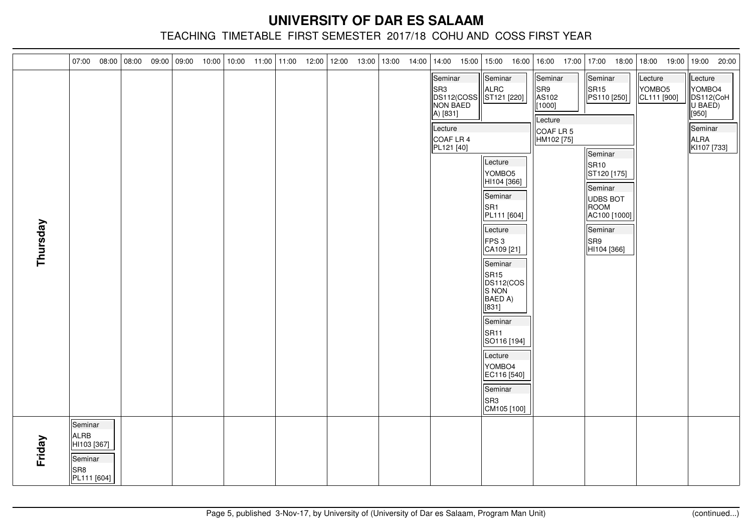| 07:00                                                   | 08:00                      | $08:00$ 09:00 09:00 | 10:00 | $10:00$ 11:00 11:00 |  | 12:00 | 12:00 13:00 | 13:00 | 14:00 14:00 |                                                                                                                                                                 | 15:00 15:00 16:00                                                                                                                                                                            | 16:00 17:00 17:00                                                       | 18:00                                                                                                                                                                    | 18:00 19:00                      | 19:00<br>20:00                                                                         |
|---------------------------------------------------------|----------------------------|---------------------|-------|---------------------|--|-------|-------------|-------|-------------|-----------------------------------------------------------------------------------------------------------------------------------------------------------------|----------------------------------------------------------------------------------------------------------------------------------------------------------------------------------------------|-------------------------------------------------------------------------|--------------------------------------------------------------------------------------------------------------------------------------------------------------------------|----------------------------------|----------------------------------------------------------------------------------------|
| Thursday                                                |                            |                     |       |                     |  |       |             |       |             | Seminar<br>$\left \begin{array}{c} \n\text{SR3} \\ \text{DS112(COSS)} \\ \text{NON BAED}\n\end{array}\right $<br>A) [831]<br>Lecture<br>COAF LR 4<br>PL121 [40] | Seminar<br>ALRC<br>ST121 [220]<br>Lecture<br>YOMBO <sub>5</sub><br>HI104 [366]<br>Seminar<br>SR <sub>1</sub><br>PL111 [604]<br>Lecture<br>FPS 3<br>CA109 [21]<br>Seminar<br>SR <sub>15</sub> | Seminar<br>SR9<br>AS102<br>[1000]<br>Lecture<br>COAF LR 5<br>HM102 [75] | Seminar<br>$\parallel$ SR15<br>PS110 [250]<br>Seminar<br>SR <sub>10</sub><br>ST120 [175]<br>Seminar<br>UDBS BOT<br>ROOM<br>AC100 [1000]<br>Seminar<br>SR9<br>HI104 [366] | Lecture<br>YOMBO5<br>CL111 [900] | Lecture<br>YOMBO4<br>DS112(CoH<br>U BAED)<br>[[950]<br>Seminar<br>ALRA<br> KI107 [733] |
| Seminar<br>ALRB<br>Friday<br>Seminar<br>SR <sub>8</sub> | HI103 [367]<br>PL111 [604] |                     |       |                     |  |       |             |       |             |                                                                                                                                                                 | DS112(COS<br>S NON<br>BAED A)<br>[831]<br>Seminar<br>SR <sub>11</sub><br>SO116 [194]<br>Lecture<br>YOMBO4<br>EC116 [540]<br>Seminar<br>SR <sub>3</sub><br>CM105 [100]                        |                                                                         |                                                                                                                                                                          |                                  |                                                                                        |